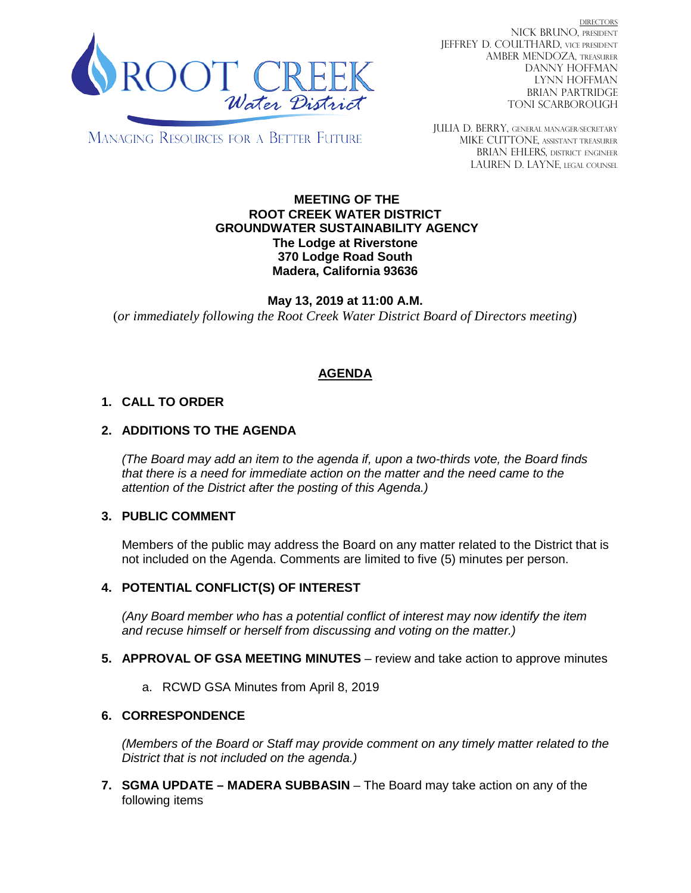

DIRECTORS NICK BRUNO, PRESIDENT JEFFREY D. COULTHARD, VICE PRESIDENT AMBER MENDOZA, TREASURER DANNY HOFFMAN LYNN HOFFMAN BRIAN PARTRIDGE TONI SCARBOROUGH

MANAGING RESOURCES FOR A BETTER FUTURE

JULIA D. BERRY, GENERAL MANAGER/secretary MIKE CUTTONE, Assistant treasurer BRIAN EHLERS, DISTRICT ENGINEER LAUREN D. LAYNE, LEGAL COUNSEL

#### **MEETING OF THE ROOT CREEK WATER DISTRICT GROUNDWATER SUSTAINABILITY AGENCY The Lodge at Riverstone 370 Lodge Road South Madera, California 93636**

**May 13, 2019 at 11:00 A.M.** (*or immediately following the Root Creek Water District Board of Directors meeting*)

# **AGENDA**

## **1. CALL TO ORDER**

### **2. ADDITIONS TO THE AGENDA**

*(The Board may add an item to the agenda if, upon a two-thirds vote, the Board finds that there is a need for immediate action on the matter and the need came to the attention of the District after the posting of this Agenda.)*

#### **3. PUBLIC COMMENT**

Members of the public may address the Board on any matter related to the District that is not included on the Agenda. Comments are limited to five (5) minutes per person.

#### **4. POTENTIAL CONFLICT(S) OF INTEREST**

*(Any Board member who has a potential conflict of interest may now identify the item and recuse himself or herself from discussing and voting on the matter.)*

- **5. APPROVAL OF GSA MEETING MINUTES** review and take action to approve minutes
	- a. RCWD GSA Minutes from April 8, 2019

#### **6. CORRESPONDENCE**

*(Members of the Board or Staff may provide comment on any timely matter related to the District that is not included on the agenda.)*

**7. SGMA UPDATE – MADERA SUBBASIN** – The Board may take action on any of the following items